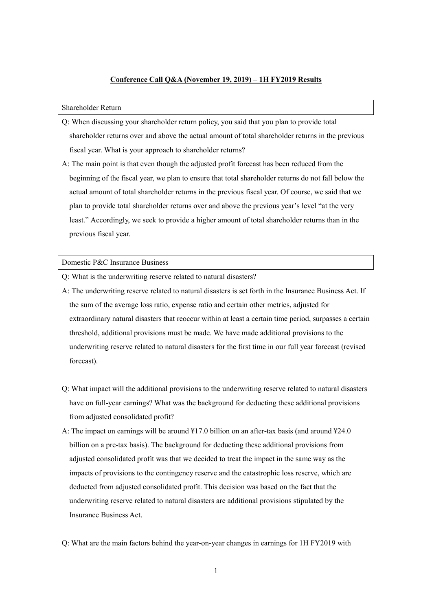## **Conference Call Q&A (November 19, 2019) – 1H FY2019 Results**

## Shareholder Return

- Q: When discussing your shareholder return policy, you said that you plan to provide total shareholder returns over and above the actual amount of total shareholder returns in the previous fiscal year. What is your approach to shareholder returns?
- A: The main point is that even though the adjusted profit forecast has been reduced from the beginning of the fiscal year, we plan to ensure that total shareholder returns do not fall below the actual amount of total shareholder returns in the previous fiscal year. Of course, we said that we plan to provide total shareholder returns over and above the previous year's level "at the very least." Accordingly, we seek to provide a higher amount of total shareholder returns than in the previous fiscal year.

## Domestic P&C Insurance Business

- Q: What is the underwriting reserve related to natural disasters?
- A: The underwriting reserve related to natural disasters is set forth in the Insurance Business Act. If the sum of the average loss ratio, expense ratio and certain other metrics, adjusted for extraordinary natural disasters that reoccur within at least a certain time period, surpasses a certain threshold, additional provisions must be made. We have made additional provisions to the underwriting reserve related to natural disasters for the first time in our full year forecast (revised forecast).
- Q: What impact will the additional provisions to the underwriting reserve related to natural disasters have on full-year earnings? What was the background for deducting these additional provisions from adjusted consolidated profit?
- A: The impact on earnings will be around ¥17.0 billion on an after-tax basis (and around ¥24.0 billion on a pre-tax basis). The background for deducting these additional provisions from adjusted consolidated profit was that we decided to treat the impact in the same way as the impacts of provisions to the contingency reserve and the catastrophic loss reserve, which are deducted from adjusted consolidated profit. This decision was based on the fact that the underwriting reserve related to natural disasters are additional provisions stipulated by the Insurance Business Act.
- Q: What are the main factors behind the year-on-year changes in earnings for 1H FY2019 with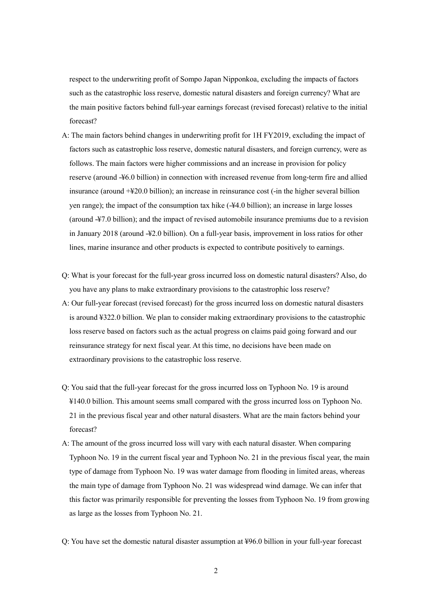respect to the underwriting profit of Sompo Japan Nipponkoa, excluding the impacts of factors such as the catastrophic loss reserve, domestic natural disasters and foreign currency? What are the main positive factors behind full-year earnings forecast (revised forecast) relative to the initial forecast?

- A: The main factors behind changes in underwriting profit for 1H FY2019, excluding the impact of factors such as catastrophic loss reserve, domestic natural disasters, and foreign currency, were as follows. The main factors were higher commissions and an increase in provision for policy reserve (around -¥6.0 billion) in connection with increased revenue from long-term fire and allied insurance (around +¥20.0 billion); an increase in reinsurance cost (-in the higher several billion yen range); the impact of the consumption tax hike  $(*44.0$  billion); an increase in large losses (around -¥7.0 billion); and the impact of revised automobile insurance premiums due to a revision in January 2018 (around -¥2.0 billion). On a full-year basis, improvement in loss ratios for other lines, marine insurance and other products is expected to contribute positively to earnings.
- Q: What is your forecast for the full-year gross incurred loss on domestic natural disasters? Also, do you have any plans to make extraordinary provisions to the catastrophic loss reserve?
- A: Our full-year forecast (revised forecast) for the gross incurred loss on domestic natural disasters is around ¥322.0 billion. We plan to consider making extraordinary provisions to the catastrophic loss reserve based on factors such as the actual progress on claims paid going forward and our reinsurance strategy for next fiscal year. At this time, no decisions have been made on extraordinary provisions to the catastrophic loss reserve.
- Q: You said that the full-year forecast for the gross incurred loss on Typhoon No. 19 is around ¥140.0 billion. This amount seems small compared with the gross incurred loss on Typhoon No. 21 in the previous fiscal year and other natural disasters. What are the main factors behind your forecast?
- A: The amount of the gross incurred loss will vary with each natural disaster. When comparing Typhoon No. 19 in the current fiscal year and Typhoon No. 21 in the previous fiscal year, the main type of damage from Typhoon No. 19 was water damage from flooding in limited areas, whereas the main type of damage from Typhoon No. 21 was widespread wind damage. We can infer that this factor was primarily responsible for preventing the losses from Typhoon No. 19 from growing as large as the losses from Typhoon No. 21.
- Q: You have set the domestic natural disaster assumption at ¥96.0 billion in your full-year forecast